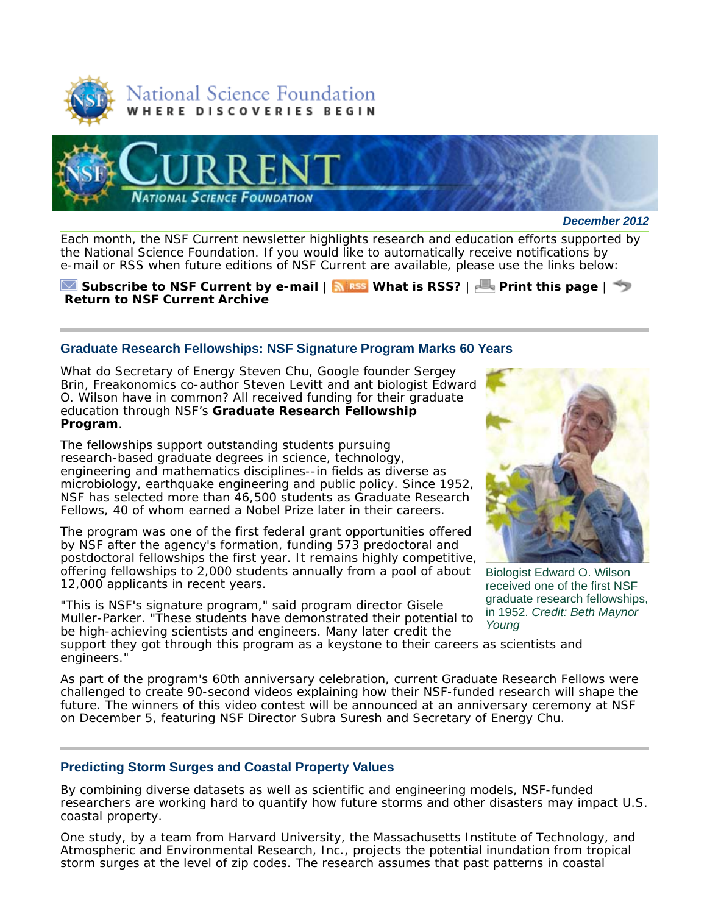



*December 2012*

Each month, the *NSF Current* newsletter highlights research and education efforts supported by the National Science Foundation. If you would like to automatically receive notifications by e-mail or RSS when future editions of *NSF Current* are available, please use the links below:

**Subscribe to** *NSF Current* **by e-mail** | **What is RSS?** | **Print this page** | **Return to** *NSF Current* **Archive**

# **Graduate Research Fellowships: NSF Signature Program Marks 60 Years**

What do Secretary of Energy Steven Chu, Google founder Sergey Brin, *Freakonomics* co-author Steven Levitt and ant biologist Edward O. Wilson have in common? All received funding for their graduate education through NSF's **Graduate Research Fellowship Program**.

The fellowships support outstanding students pursuing research-based graduate degrees in science, technology, engineering and mathematics disciplines--in fields as diverse as microbiology, earthquake engineering and public policy. Since 1952, NSF has selected more than 46,500 students as Graduate Research Fellows, 40 of whom earned a Nobel Prize later in their careers.

The program was one of the first federal grant opportunities offered by NSF after the agency's formation, funding 573 predoctoral and postdoctoral fellowships the first year. It remains highly competitive, offering fellowships to 2,000 students annually from a pool of about 12,000 applicants in recent years.

"This is NSF's signature program," said program director Gisele Muller-Parker. "These students have demonstrated their potential to be high-achieving scientists and engineers. Many later credit the

support they got through this program as a keystone to their careers as scientists and engineers."

As part of the program's 60th anniversary celebration, current Graduate Research Fellows were challenged to create 90-second videos explaining how their NSF-funded research will shape the future. The winners of this video contest will be announced at an anniversary ceremony at NSF on December 5, featuring NSF Director Subra Suresh and Secretary of Energy Chu.

## **Predicting Storm Surges and Coastal Property Values**

By combining diverse datasets as well as scientific and engineering models, NSF-funded researchers are working hard to quantify how future storms and other disasters may impact U.S. coastal property.

One study, by a team from Harvard University, the Massachusetts Institute of Technology, and Atmospheric and Environmental Research, Inc., projects the potential inundation from tropical storm surges at the level of zip codes. The research assumes that past patterns in coastal



Biologist Edward O. Wilson received one of the first NSF graduate research fellowships, in 1952. *Credit: Beth Maynor Young*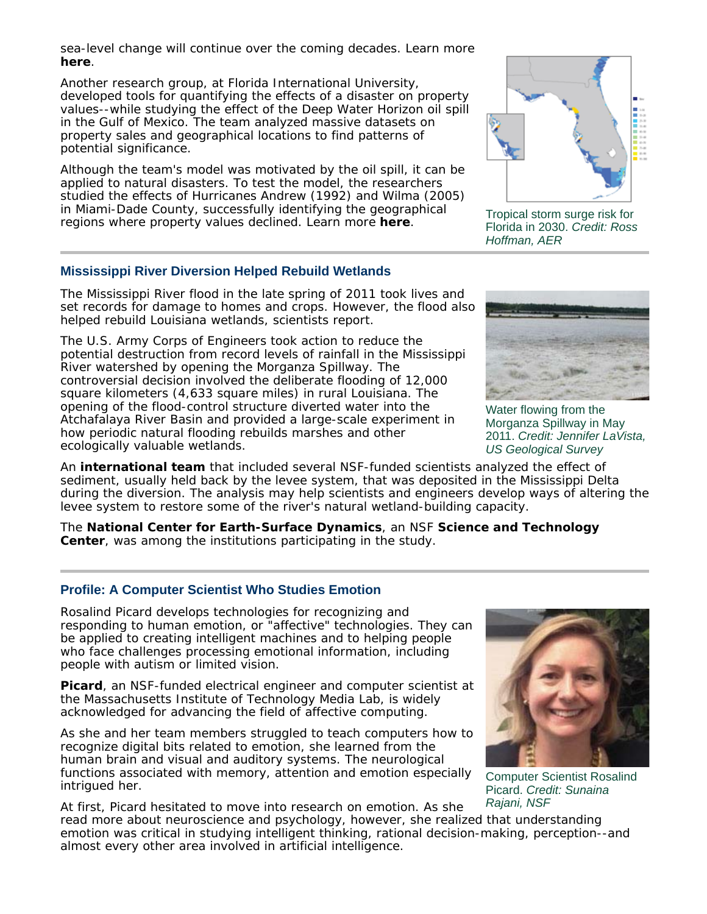sea-level change will continue over the coming decades. Learn more **here**.

Another research group, at Florida International University, developed tools for quantifying the effects of a disaster on property values--while studying the effect of the Deep Water Horizon oil spill in the Gulf of Mexico. The team analyzed massive datasets on property sales and geographical locations to find patterns of potential significance.

Although the team's model was motivated by the oil spill, it can be applied to natural disasters. To test the model, the researchers studied the effects of Hurricanes Andrew (1992) and Wilma (2005) in Miami-Dade County, successfully identifying the geographical regions where property values declined. Learn more **here**.



Tropical storm surge risk for Florida in 2030. *Credit: Ross Hoffman, AER*

# **Mississippi River Diversion Helped Rebuild Wetlands**

The Mississippi River flood in the late spring of 2011 took lives and set records for damage to homes and crops. However, the flood also helped rebuild Louisiana wetlands, scientists report.

The U.S. Army Corps of Engineers took action to reduce the potential destruction from record levels of rainfall in the Mississippi River watershed by opening the Morganza Spillway. The controversial decision involved the deliberate flooding of 12,000 square kilometers (4,633 square miles) in rural Louisiana. The opening of the flood-control structure diverted water into the Atchafalaya River Basin and provided a large-scale experiment in how periodic natural flooding rebuilds marshes and other ecologically valuable wetlands.

An **international team** that included several NSF-funded scientists analyzed the effect of sediment, usually held back by the levee system, that was deposited in the Mississippi Delta during the diversion. The analysis may help scientists and engineers develop ways of altering the levee system to restore some of the river's natural wetland-building capacity.

The **National Center for Earth-Surface Dynamics**, an NSF **Science and Technology Center**, was among the institutions participating in the study.

## **Profile: A Computer Scientist Who Studies Emotion**

Rosalind Picard develops technologies for recognizing and responding to human emotion, or "affective" technologies. They can be applied to creating intelligent machines and to helping people who face challenges processing emotional information, including people with autism or limited vision.

**Picard**, an NSF-funded electrical engineer and computer scientist at the Massachusetts Institute of Technology Media Lab, is widely acknowledged for advancing the field of affective computing.

As she and her team members struggled to teach computers how to recognize digital bits related to emotion, she learned from the human brain and visual and auditory systems. The neurological functions associated with memory, attention and emotion especially intrigued her.



Computer Scientist Rosalind Picard. *Credit: Sunaina Rajani, NSF*

At first, Picard hesitated to move into research on emotion. As she read more about neuroscience and psychology, however, she realized that understanding emotion was critical in studying intelligent thinking, rational decision-making, perception--and almost every other area involved in artificial intelligence.



Water flowing from the Morganza Spillway in May 2011. *Credit: Jennifer LaVista, US Geological Survey*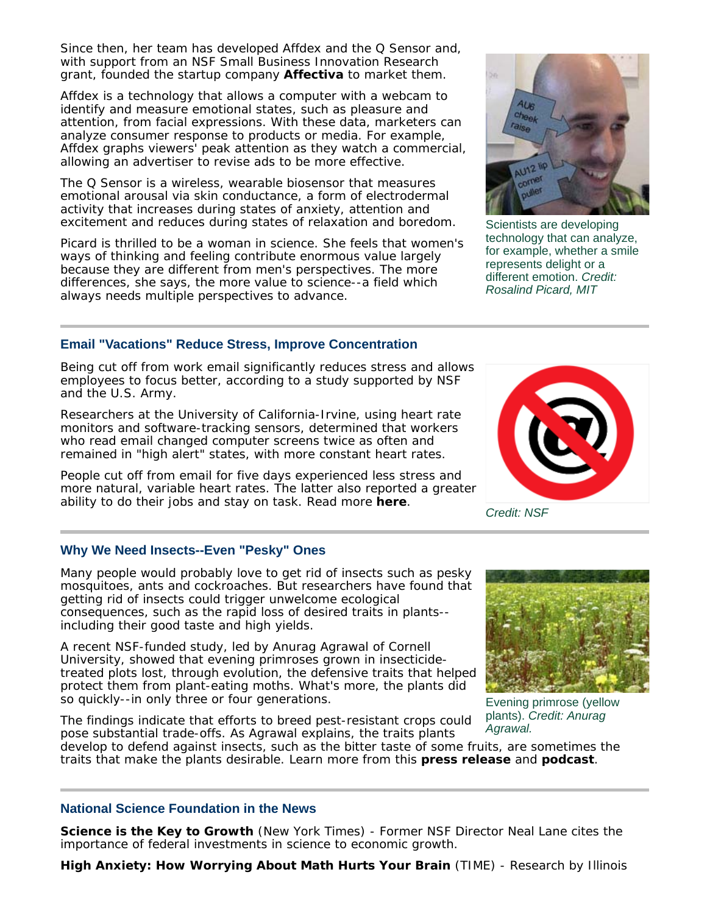Since then, her team has developed Affdex and the Q Sensor and, with support from an NSF Small Business Innovation Research grant, founded the startup company **Affectiva** to market them.

Affdex is a technology that allows a computer with a webcam to identify and measure emotional states, such as pleasure and attention, from facial expressions. With these data, marketers can analyze consumer response to products or media. For example, Affdex graphs viewers' peak attention as they watch a commercial, allowing an advertiser to revise ads to be more effective.

The Q Sensor is a wireless, wearable biosensor that measures emotional arousal via skin conductance, a form of electrodermal activity that increases during states of anxiety, attention and excitement and reduces during states of relaxation and boredom.

Picard is thrilled to be a woman in science. She feels that women's ways of thinking and feeling contribute enormous value largely because they are different from men's perspectives. The more differences, she says, the more value to science--a field which always needs multiple perspectives to advance.

# **Email "Vacations" Reduce Stress, Improve Concentration**

Being cut off from work email significantly reduces stress and allows employees to focus better, according to a study supported by NSF and the U.S. Army.

Researchers at the University of California-Irvine, using heart rate monitors and software-tracking sensors, determined that workers who read email changed computer screens twice as often and remained in "high alert" states, with more constant heart rates.

People cut off from email for five days experienced less stress and more natural, variable heart rates. The latter also reported a greater ability to do their jobs and stay on task. Read more **here**.

# **Why We Need Insects--Even "Pesky" Ones**

Many people would probably love to get rid of insects such as pesky mosquitoes, ants and cockroaches. But researchers have found that getting rid of insects could trigger unwelcome ecological consequences, such as the rapid loss of desired traits in plants- including their good taste and high yields.

A recent NSF-funded study, led by Anurag Agrawal of Cornell University, showed that evening primroses grown in insecticidetreated plots lost, through evolution, the defensive traits that helped protect them from plant-eating moths. What's more, the plants did so quickly--in only three or four generations.

The findings indicate that efforts to breed pest-resistant crops could pose substantial trade-offs. As Agrawal explains, the traits plants

develop to defend against insects, such as the bitter taste of some fruits, are sometimes the traits that make the plants desirable. Learn more from this **press release** and **podcast**.

## **National Science Foundation in the News**

**Science is the Key to Growth** (*New York Times*) - Former NSF Director Neal Lane cites the importance of federal investments in science to economic growth.

**High Anxiety: How Worrying About Math Hurts Your Brain** (*TIME*) - Research by Illinois





*Credit: NSF*





plants). *Credit: Anurag Agrawal.*